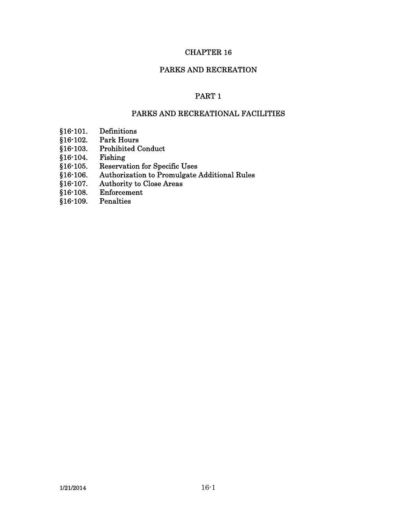# CHAPTER 16

## PARKS AND RECREATION

# PART 1

# PARKS AND RECREATIONAL FACILITIES

- §16-101. Definitions
- §16-102. Park Hours
- §16-103. Prohibited Conduct
- §16-104. Fishing
- §16-105. Reservation for Specific Uses
- §16-106. Authorization to Promulgate Additional Rules
- §16-107. Authority to Close Areas
- §16-108. Enforcement<br>§16-109. Penalties
- $§16-109.$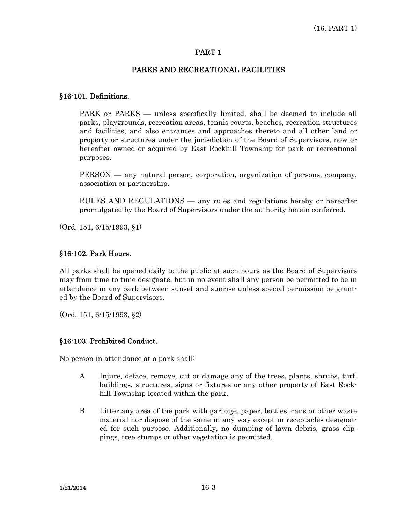# PART 1

## PARKS AND RECREATIONAL FACILITIES

## §16-101. Definitions.

 PARK or PARKS — unless specifically limited, shall be deemed to include all parks, playgrounds, recreation areas, tennis courts, beaches, recreation structures and facilities, and also entrances and approaches thereto and all other land or property or structures under the jurisdiction of the Board of Supervisors, now or hereafter owned or acquired by East Rockhill Township for park or recreational purposes.

PERSON — any natural person, corporation, organization of persons, company, association or partnership.

 RULES AND REGULATIONS — any rules and regulations hereby or hereafter promulgated by the Board of Supervisors under the authority herein conferred.

(Ord. 151, 6/15/1993, §1)

# §16-102. Park Hours.

All parks shall be opened daily to the public at such hours as the Board of Supervisors may from time to time designate, but in no event shall any person be permitted to be in attendance in any park between sunset and sunrise unless special permission be granted by the Board of Supervisors.

(Ord. 151, 6/15/1993, §2)

# §16-103. Prohibited Conduct.

No person in attendance at a park shall:

- A. Injure, deface, remove, cut or damage any of the trees, plants, shrubs, turf, buildings, structures, signs or fixtures or any other property of East Rockhill Township located within the park.
- B. Litter any area of the park with garbage, paper, bottles, cans or other waste material nor dispose of the same in any way except in receptacles designated for such purpose. Additionally, no dumping of lawn debris, grass clippings, tree stumps or other vegetation is permitted.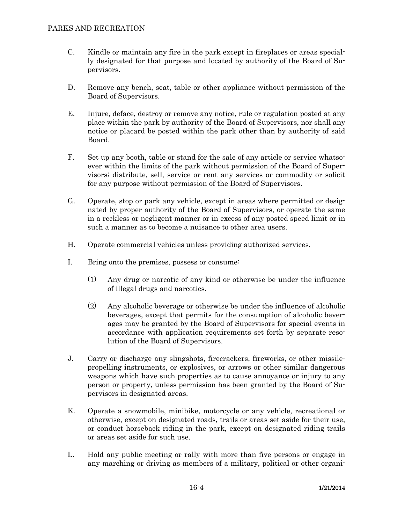- C. Kindle or maintain any fire in the park except in fireplaces or areas specially designated for that purpose and located by authority of the Board of Supervisors.
- D. Remove any bench, seat, table or other appliance without permission of the Board of Supervisors.
- E. Injure, deface, destroy or remove any notice, rule or regulation posted at any place within the park by authority of the Board of Supervisors, nor shall any notice or placard be posted within the park other than by authority of said Board.
- F. Set up any booth, table or stand for the sale of any article or service whatsoever within the limits of the park without permission of the Board of Supervisors; distribute, sell, service or rent any services or commodity or solicit for any purpose without permission of the Board of Supervisors.
- G. Operate, stop or park any vehicle, except in areas where permitted or designated by proper authority of the Board of Supervisors, or operate the same in a reckless or negligent manner or in excess of any posted speed limit or in such a manner as to become a nuisance to other area users.
- H. Operate commercial vehicles unless providing authorized services.
- I. Bring onto the premises, possess or consume:
	- (1) Any drug or narcotic of any kind or otherwise be under the influence of illegal drugs and narcotics.
	- (2) Any alcoholic beverage or otherwise be under the influence of alcoholic beverages, except that permits for the consumption of alcoholic beverages may be granted by the Board of Supervisors for special events in accordance with application requirements set forth by separate resolution of the Board of Supervisors.
- J. Carry or discharge any slingshots, firecrackers, fireworks, or other missilepropelling instruments, or explosives, or arrows or other similar dangerous weapons which have such properties as to cause annoyance or injury to any person or property, unless permission has been granted by the Board of Supervisors in designated areas.
- K. Operate a snowmobile, minibike, motorcycle or any vehicle, recreational or otherwise, except on designated roads, trails or areas set aside for their use, or conduct horseback riding in the park, except on designated riding trails or areas set aside for such use.
- L. Hold any public meeting or rally with more than five persons or engage in any marching or driving as members of a military, political or other organi-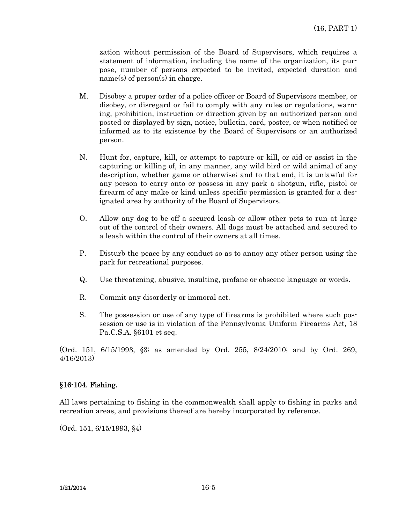zation without permission of the Board of Supervisors, which requires a statement of information, including the name of the organization, its purpose, number of persons expected to be invited, expected duration and name(s) of person(s) in charge.

- M. Disobey a proper order of a police officer or Board of Supervisors member, or disobey, or disregard or fail to comply with any rules or regulations, warning, prohibition, instruction or direction given by an authorized person and posted or displayed by sign, notice, bulletin, card, poster, or when notified or informed as to its existence by the Board of Supervisors or an authorized person.
- N. Hunt for, capture, kill, or attempt to capture or kill, or aid or assist in the capturing or killing of, in any manner, any wild bird or wild animal of any description, whether game or otherwise; and to that end, it is unlawful for any person to carry onto or possess in any park a shotgun, rifle, pistol or firearm of any make or kind unless specific permission is granted for a designated area by authority of the Board of Supervisors.
- O. Allow any dog to be off a secured leash or allow other pets to run at large out of the control of their owners. All dogs must be attached and secured to a leash within the control of their owners at all times.
- P. Disturb the peace by any conduct so as to annoy any other person using the park for recreational purposes.
- Q. Use threatening, abusive, insulting, profane or obscene language or words.
- R. Commit any disorderly or immoral act.
- S. The possession or use of any type of firearms is prohibited where such possession or use is in violation of the Pennsylvania Uniform Firearms Act, 18 Pa.C.S.A. §6101 et seq.

(Ord. 151, 6/15/1993, §3; as amended by Ord. 255, 8/24/2010; and by Ord. 269, 4/16/2013)

## §16-104. Fishing.

All laws pertaining to fishing in the commonwealth shall apply to fishing in parks and recreation areas, and provisions thereof are hereby incorporated by reference.

(Ord. 151, 6/15/1993, §4)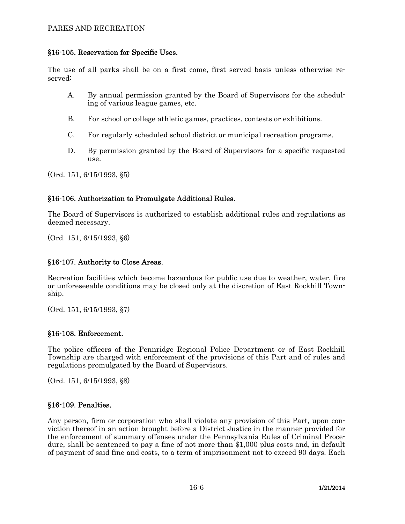# PARKS AND RECREATION

## §16-105. Reservation for Specific Uses.

The use of all parks shall be on a first come, first served basis unless otherwise reserved:

- A. By annual permission granted by the Board of Supervisors for the scheduling of various league games, etc.
- B. For school or college athletic games, practices, contests or exhibitions.
- C. For regularly scheduled school district or municipal recreation programs.
- D. By permission granted by the Board of Supervisors for a specific requested use.

(Ord. 151, 6/15/1993, §5)

## §16-106. Authorization to Promulgate Additional Rules.

The Board of Supervisors is authorized to establish additional rules and regulations as deemed necessary.

(Ord. 151, 6/15/1993, §6)

#### §16-107. Authority to Close Areas.

Recreation facilities which become hazardous for public use due to weather, water, fire or unforeseeable conditions may be closed only at the discretion of East Rockhill Township.

(Ord. 151, 6/15/1993, §7)

#### §16-108. Enforcement.

The police officers of the Pennridge Regional Police Department or of East Rockhill Township are charged with enforcement of the provisions of this Part and of rules and regulations promulgated by the Board of Supervisors.

(Ord. 151, 6/15/1993, §8)

#### §16-109. Penalties.

Any person, firm or corporation who shall violate any provision of this Part, upon conviction thereof in an action brought before a District Justice in the manner provided for the enforcement of summary offenses under the Pennsylvania Rules of Criminal Procedure, shall be sentenced to pay a fine of not more than \$1,000 plus costs and, in default of payment of said fine and costs, to a term of imprisonment not to exceed 90 days. Each